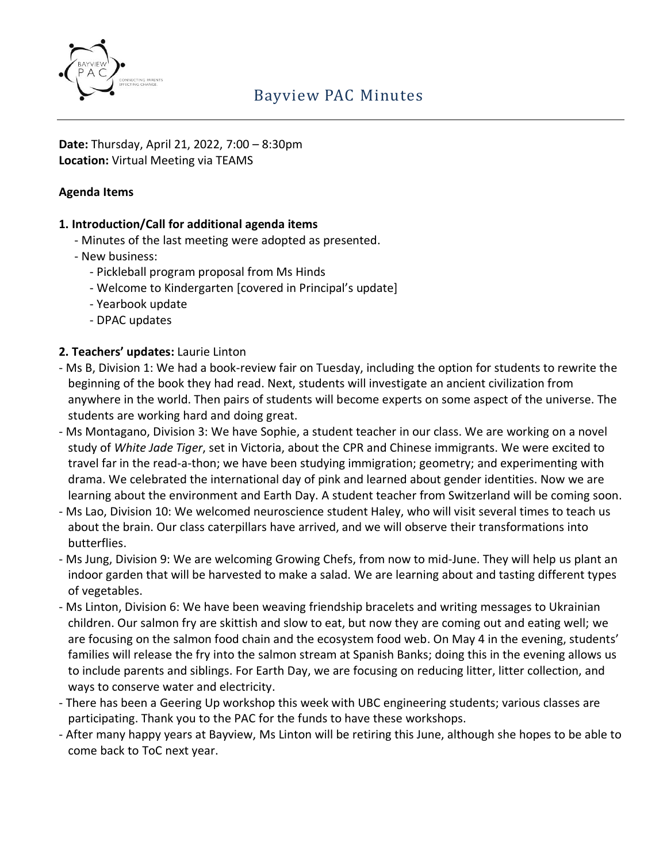

**Date:** Thursday, April 21, 2022, 7:00 – 8:30pm **Location:** Virtual Meeting via TEAMS

#### **Agenda Items**

#### **1. Introduction/Call for additional agenda items**

- Minutes of the last meeting were adopted as presented.
- New business:
	- Pickleball program proposal from Ms Hinds
	- Welcome to Kindergarten [covered in Principal's update]
	- Yearbook update
	- DPAC updates

## **2. Teachers' updates:** Laurie Linton

- Ms B, Division 1: We had a book-review fair on Tuesday, including the option for students to rewrite the beginning of the book they had read. Next, students will investigate an ancient civilization from anywhere in the world. Then pairs of students will become experts on some aspect of the universe. The students are working hard and doing great.
- Ms Montagano, Division 3: We have Sophie, a student teacher in our class. We are working on a novel study of *White Jade Tiger*, set in Victoria, about the CPR and Chinese immigrants. We were excited to travel far in the read-a-thon; we have been studying immigration; geometry; and experimenting with drama. We celebrated the international day of pink and learned about gender identities. Now we are learning about the environment and Earth Day. A student teacher from Switzerland will be coming soon.
- Ms Lao, Division 10: We welcomed neuroscience student Haley, who will visit several times to teach us about the brain. Our class caterpillars have arrived, and we will observe their transformations into butterflies.
- Ms Jung, Division 9: We are welcoming Growing Chefs, from now to mid-June. They will help us plant an indoor garden that will be harvested to make a salad. We are learning about and tasting different types of vegetables.
- Ms Linton, Division 6: We have been weaving friendship bracelets and writing messages to Ukrainian children. Our salmon fry are skittish and slow to eat, but now they are coming out and eating well; we are focusing on the salmon food chain and the ecosystem food web. On May 4 in the evening, students' families will release the fry into the salmon stream at Spanish Banks; doing this in the evening allows us to include parents and siblings. For Earth Day, we are focusing on reducing litter, litter collection, and ways to conserve water and electricity.
- There has been a Geering Up workshop this week with UBC engineering students; various classes are participating. Thank you to the PAC for the funds to have these workshops.
- After many happy years at Bayview, Ms Linton will be retiring this June, although she hopes to be able to come back to ToC next year.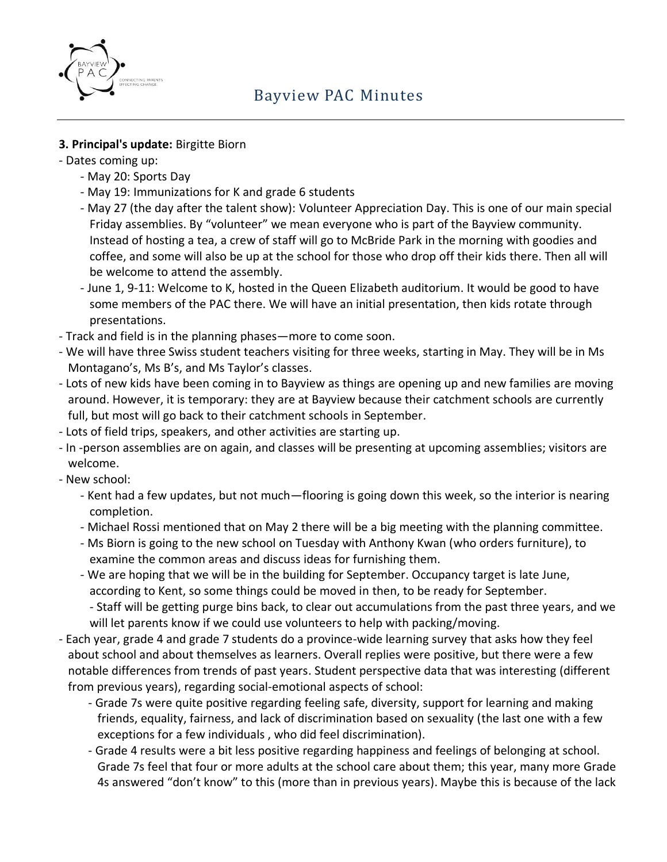

## **3. Principal's update:** Birgitte Biorn

- Dates coming up:
	- May 20: Sports Day
	- May 19: Immunizations for K and grade 6 students
	- May 27 (the day after the talent show): Volunteer Appreciation Day. This is one of our main special Friday assemblies. By "volunteer" we mean everyone who is part of the Bayview community. Instead of hosting a tea, a crew of staff will go to McBride Park in the morning with goodies and coffee, and some will also be up at the school for those who drop off their kids there. Then all will be welcome to attend the assembly.
	- June 1, 9-11: Welcome to K, hosted in the Queen Elizabeth auditorium. It would be good to have some members of the PAC there. We will have an initial presentation, then kids rotate through presentations.
- Track and field is in the planning phases—more to come soon.
- We will have three Swiss student teachers visiting for three weeks, starting in May. They will be in Ms Montagano's, Ms B's, and Ms Taylor's classes.
- Lots of new kids have been coming in to Bayview as things are opening up and new families are moving around. However, it is temporary: they are at Bayview because their catchment schools are currently full, but most will go back to their catchment schools in September.
- Lots of field trips, speakers, and other activities are starting up.
- In -person assemblies are on again, and classes will be presenting at upcoming assemblies; visitors are welcome.
- New school:
	- Kent had a few updates, but not much—flooring is going down this week, so the interior is nearing completion.
	- Michael Rossi mentioned that on May 2 there will be a big meeting with the planning committee.
	- Ms Biorn is going to the new school on Tuesday with Anthony Kwan (who orders furniture), to examine the common areas and discuss ideas for furnishing them.
	- We are hoping that we will be in the building for September. Occupancy target is late June, according to Kent, so some things could be moved in then, to be ready for September.
	- Staff will be getting purge bins back, to clear out accumulations from the past three years, and we will let parents know if we could use volunteers to help with packing/moving.
- Each year, grade 4 and grade 7 students do a province-wide learning survey that asks how they feel about school and about themselves as learners. Overall replies were positive, but there were a few notable differences from trends of past years. Student perspective data that was interesting (different from previous years), regarding social-emotional aspects of school:
	- Grade 7s were quite positive regarding feeling safe, diversity, support for learning and making friends, equality, fairness, and lack of discrimination based on sexuality (the last one with a few exceptions for a few individuals , who did feel discrimination).
	- Grade 4 results were a bit less positive regarding happiness and feelings of belonging at school. Grade 7s feel that four or more adults at the school care about them; this year, many more Grade 4s answered "don't know" to this (more than in previous years). Maybe this is because of the lack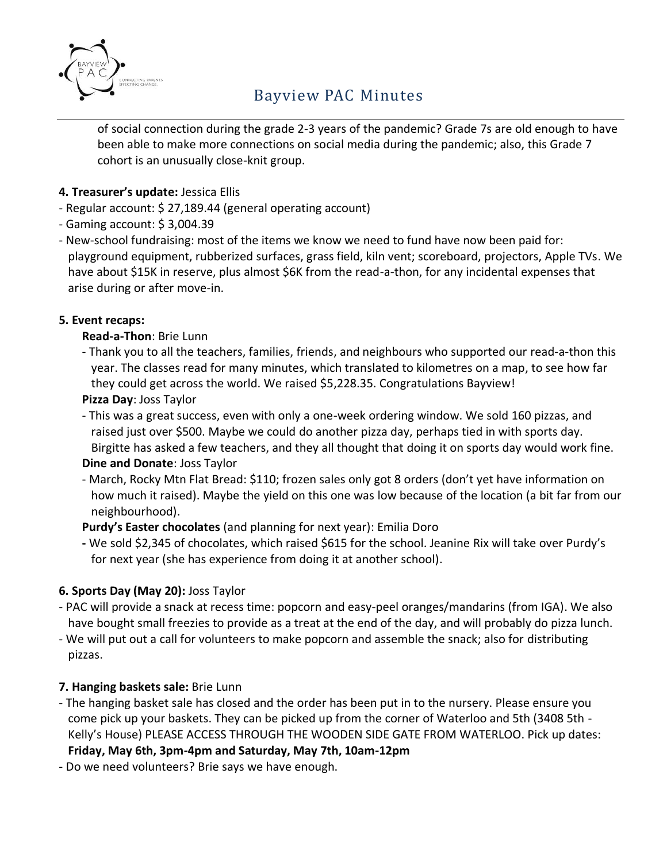

# Bayview PAC Minutes

of social connection during the grade 2-3 years of the pandemic? Grade 7s are old enough to have been able to make more connections on social media during the pandemic; also, this Grade 7 cohort is an unusually close-knit group.

## **4. Treasurer's update:** Jessica Ellis

- Regular account: \$ 27,189.44 (general operating account)
- Gaming account: \$ 3,004.39
- New-school fundraising: most of the items we know we need to fund have now been paid for: playground equipment, rubberized surfaces, grass field, kiln vent; scoreboard, projectors, Apple TVs. We have about \$15K in reserve, plus almost \$6K from the read-a-thon, for any incidental expenses that arise during or after move-in.

## **5. Event recaps:**

## **Read-a-Thon**: Brie Lunn

- Thank you to all the teachers, families, friends, and neighbours who supported our read-a-thon this year. The classes read for many minutes, which translated to kilometres on a map, to see how far they could get across the world. We raised \$5,228.35. Congratulations Bayview!
- **Pizza Day**: Joss Taylor
- This was a great success, even with only a one-week ordering window. We sold 160 pizzas, and raised just over \$500. Maybe we could do another pizza day, perhaps tied in with sports day. Birgitte has asked a few teachers, and they all thought that doing it on sports day would work fine.

#### **Dine and Donate**: Joss Taylor

- March, Rocky Mtn Flat Bread: \$110; frozen sales only got 8 orders (don't yet have information on how much it raised). Maybe the yield on this one was low because of the location (a bit far from our neighbourhood).

**Purdy's Easter chocolates** (and planning for next year): Emilia Doro

**-** We sold \$2,345 of chocolates, which raised \$615 for the school. Jeanine Rix will take over Purdy's for next year (she has experience from doing it at another school).

## **6. Sports Day (May 20):** Joss Taylor

- PAC will provide a snack at recess time: popcorn and easy-peel oranges/mandarins (from IGA). We also have bought small freezies to provide as a treat at the end of the day, and will probably do pizza lunch.
- We will put out a call for volunteers to make popcorn and assemble the snack; also for distributing pizzas.

#### **7. Hanging baskets sale:** Brie Lunn

- The hanging basket sale has closed and the order has been put in to the nursery. Please ensure you come pick up your baskets. They can be picked up from the corner of Waterloo and 5th (3408 5th - Kelly's House) PLEASE ACCESS THROUGH THE WOODEN SIDE GATE FROM WATERLOO. Pick up dates:

#### **Friday, May 6th, 3pm-4pm and Saturday, May 7th, 10am-12pm**

- Do we need volunteers? Brie says we have enough.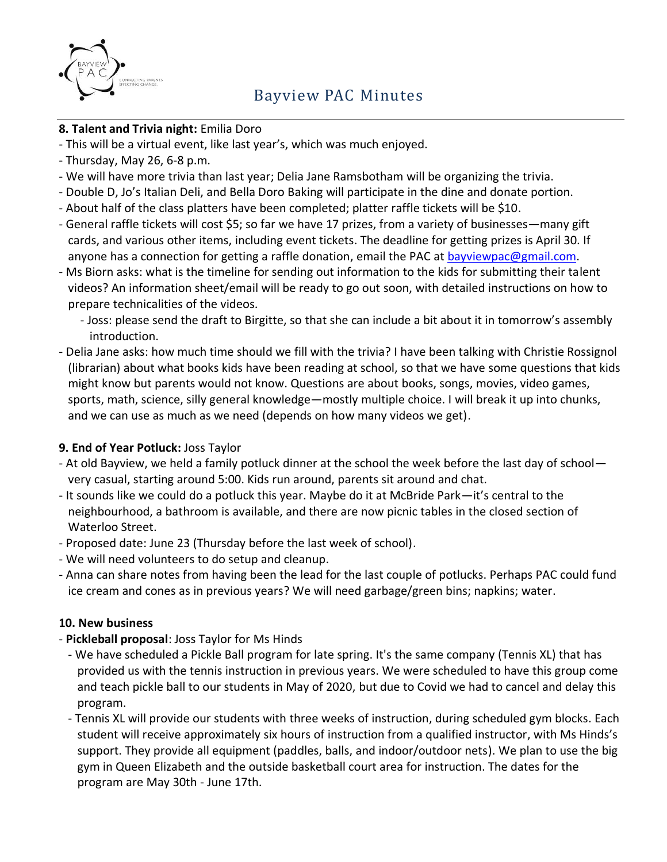

#### **8. Talent and Trivia night:** Emilia Doro

- This will be a virtual event, like last year's, which was much enjoyed.
- Thursday, May 26, 6-8 p.m.
- We will have more trivia than last year; Delia Jane Ramsbotham will be organizing the trivia.
- Double D, Jo's Italian Deli, and Bella Doro Baking will participate in the dine and donate portion.
- About half of the class platters have been completed; platter raffle tickets will be \$10.
- General raffle tickets will cost \$5; so far we have 17 prizes, from a variety of businesses—many gift cards, and various other items, including event tickets. The deadline for getting prizes is April 30. If anyone has a connection for getting a raffle donation, email the PAC at bayviewpac@gmail.com.
- Ms Biorn asks: what is the timeline for sending out information to the kids for submitting their talent videos? An information sheet/email will be ready to go out soon, with detailed instructions on how to prepare technicalities of the videos.
	- Joss: please send the draft to Birgitte, so that she can include a bit about it in tomorrow's assembly introduction.
- Delia Jane asks: how much time should we fill with the trivia? I have been talking with Christie Rossignol (librarian) about what books kids have been reading at school, so that we have some questions that kids might know but parents would not know. Questions are about books, songs, movies, video games, sports, math, science, silly general knowledge—mostly multiple choice. I will break it up into chunks, and we can use as much as we need (depends on how many videos we get).

## **9. End of Year Potluck:** Joss Taylor

- At old Bayview, we held a family potluck dinner at the school the week before the last day of school very casual, starting around 5:00. Kids run around, parents sit around and chat.
- It sounds like we could do a potluck this year. Maybe do it at McBride Park—it's central to the neighbourhood, a bathroom is available, and there are now picnic tables in the closed section of Waterloo Street.
- Proposed date: June 23 (Thursday before the last week of school).
- We will need volunteers to do setup and cleanup.
- Anna can share notes from having been the lead for the last couple of potlucks. Perhaps PAC could fund ice cream and cones as in previous years? We will need garbage/green bins; napkins; water.

#### **10. New business**

- **Pickleball proposal**: Joss Taylor for Ms Hinds
	- We have scheduled a Pickle Ball program for late spring. It's the same company (Tennis XL) that has provided us with the tennis instruction in previous years. We were scheduled to have this group come and teach pickle ball to our students in May of 2020, but due to Covid we had to cancel and delay this program.
	- Tennis XL will provide our students with three weeks of instruction, during scheduled gym blocks. Each student will receive approximately six hours of instruction from a qualified instructor, with Ms Hinds's support. They provide all equipment (paddles, balls, and indoor/outdoor nets). We plan to use the big gym in Queen Elizabeth and the outside basketball court area for instruction. The dates for the program are May 30th - June 17th.